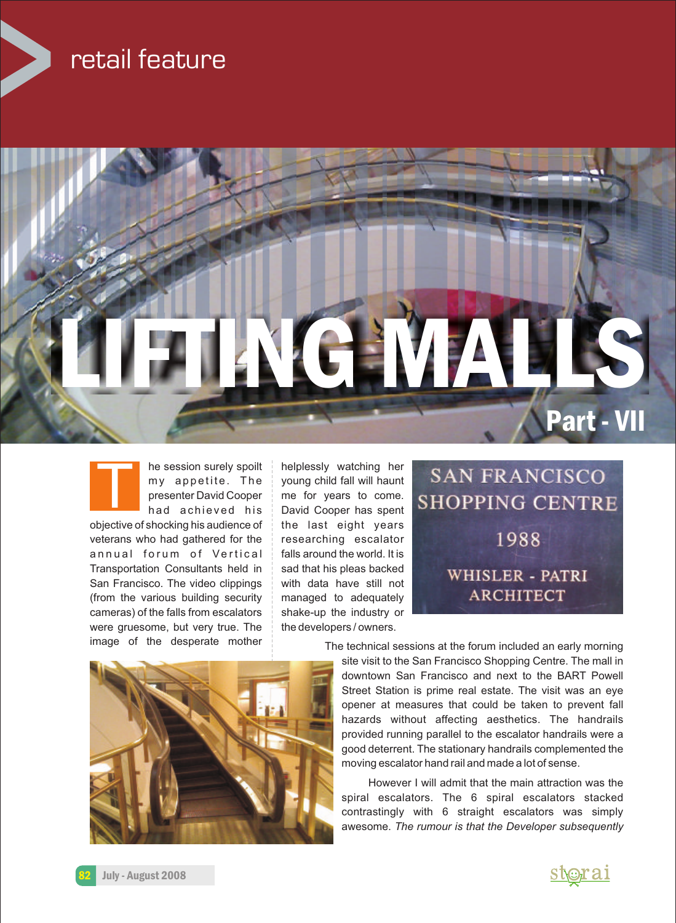## retail feature





veterans who had gathered for the  $\parallel$  researching escalator annual forum of Vertical falls around the world. It is Transportation Consultants held in  $\parallel$  sad that his pleas backed San Francisco. The video clippings with data have still not (from the various building security managed to adequately cameras) of the falls from escalators shake-up the industry or were gruesome, but very true. The  $\frac{1}{2}$  the developers / owners.

he session surely spoilt helplessly watching her  $my$  appetite. The voung child fall will haunt presenter David Cooper | me for years to come. had achieved his David Cooper has spent objective of shocking his audience of  $\parallel$  the last eight years





image of the desperate mother The technical sessions at the forum included an early morning

site visit to the San Francisco Shopping Centre. The mall in downtown San Francisco and next to the BART Powell Street Station is prime real estate. The visit was an eye opener at measures that could be taken to prevent fall hazards without affecting aesthetics. The handrails provided running parallel to the escalator handrails were a good deterrent. The stationary handrails complemented the moving escalator hand rail and made a lot of sense.

However I will admit that the main attraction was the spiral escalators. The 6 spiral escalators stacked contrastingly with 6 straight escalators was simply awesome. *The rumour is that the Developer subsequently* 

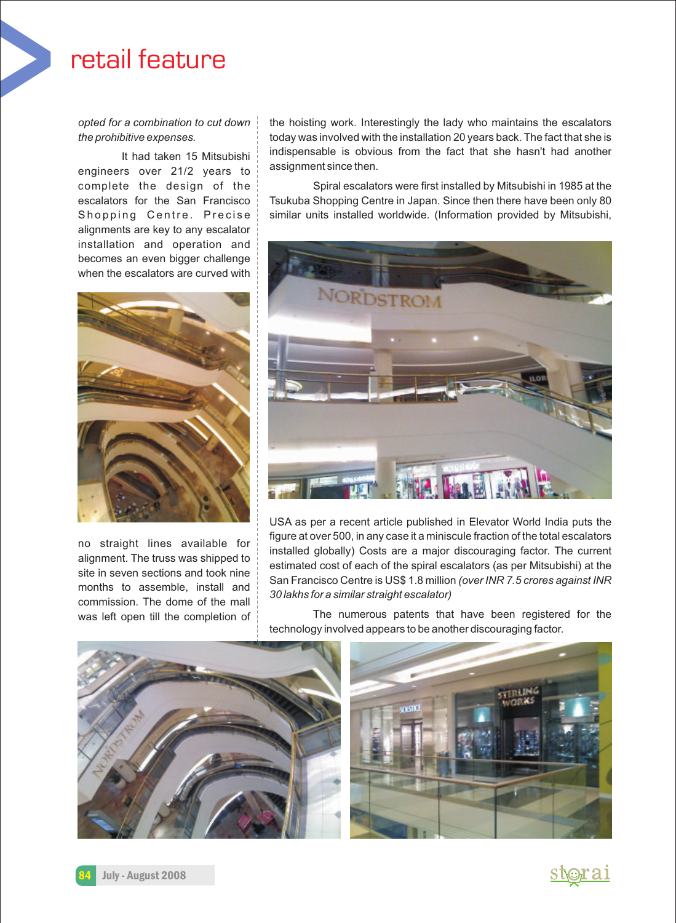## retail feature

engineers over 21/2 years to alignments are key to any escalator installation and operation and becomes an even bigger challenge when the escalators are curved with



no straight lines available for

*opted for a combination to cut down* the hoisting work. Interestingly the lady who maintains the escalators *the prohibitive expenses.* today was involved with the installation 20 years back. The fact that she is It had taken 15 Mitsubishi indispensable is obvious from the fact that she hasn't had another  $\frac{21}{2}$  ween to assignment since then.

complete the design of the Spiral escalators were first installed by Mitsubishi in 1985 at the escalators for the San Francisco | Tsukuba Shopping Centre in Japan. Since then there have been only 80 Shopping Centre. Precise similar units installed worldwide. (Information provided by Mitsubishi,



USA as per a recent article published in Elevator World India puts the figure at over 500, in any case it a miniscule fraction of the total escalators installed globally) Costs are a major discouraging factor. The current<br>alignment. The truss was shipped to<br>site in seven sections and took nine<br>months to assemble, install and<br>commission. The dome of the mall<br> $\frac{30 \text{ lakhs}$ 

was left open till the completion of **Frank Completion of the left open the left** open tegistered for the technology involved appears to be another discouraging factor.